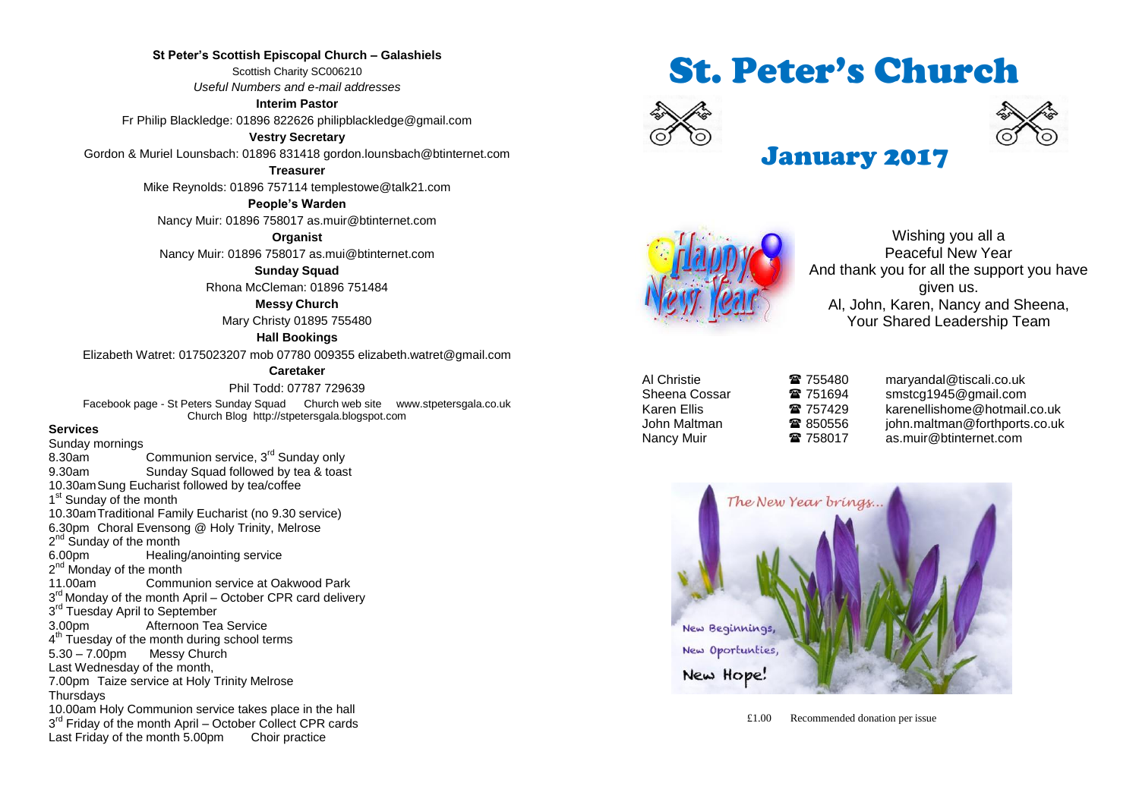**St Peter's Scottish Episcopal Church – Galashiels** Scottish Charity SC006210 *Useful Numbers and e-mail addresses*

**Interim Pastor** Fr Philip Blackledge: 01896 822626 philipblackledge@gmail.com

**Vestry Secretary**

Gordon & Muriel Lounsbach: 01896 831418 gordon.lounsbach@btinternet.com

**Treasurer**

Mike Reynolds: 01896 757114 templestowe@talk21.com

**People's Warden** Nancy Muir: 01896 758017 as.muir@btinternet.com

**Organist**

Nancy Muir: 01896 758017 as.mui@btinternet.com

**Sunday Squad**

Rhona McCleman: 01896 751484

**Messy Church**

Mary Christy 01895 755480

#### **Hall Bookings**

Elizabeth Watret: 0175023207 mob 07780 009355 elizabeth.watret@gmail.com

#### **Caretaker**

Phil Todd: 07787 729639

Facebook page - St Peters Sunday Squad Church web site www.stpetersgala.co.uk Church Blog [http://stpetersgala.blogspot.com](http://stpetersgala.blogspot.com/)

#### **Services**

Sunday mornings 8.30am Communion service, 3<sup>rd</sup> Sunday only 9.30am Sunday Squad followed by tea & toast 10.30amSung Eucharist followed by tea/coffee 1<sup>st</sup> Sunday of the month 10.30amTraditional Family Eucharist (no 9.30 service) 6.30pm Choral Evensong @ Holy Trinity, Melrose 2<sup>nd</sup> Sunday of the month 6.00pm Healing/anointing service 2<sup>nd</sup> Monday of the month 11.00am Communion service at Oakwood Park 3<sup>rd</sup> Monday of the month April – October CPR card delivery 3<sup>rd</sup> Tuesday April to September 3.00pm Afternoon Tea Service 4<sup>th</sup> Tuesday of the month during school terms 5.30 – 7.00pm Messy Church Last Wednesday of the month, 7.00pm Taize service at Holy Trinity Melrose **Thursdays** 10.00am Holy Communion service takes place in the hall 3<sup>rd</sup> Friday of the month April - October Collect CPR cards Last Friday of the month 5.00pm Choir practice

# St. Peter's Church





# January 2017



Wishing you all a Peaceful New Year And thank you for all the support you have given us. Al, John, Karen, Nancy and Sheena, Your Shared Leadership Team

| ี่<br>Al Christie |  |
|-------------------|--|
| Sheena Cossar     |  |
| Karen Ellis       |  |
| John Maltman      |  |
| Nancy Muir        |  |

**■ 755480** maryandal@tiscali.co.uk **■ 751694** smstcg1945@gmail.com **■ 757429 karenellishome@hotmail.co.uk ■ 850556** john.maltman@forthports.co.uk 18 758017 as.muir@btinternet.com

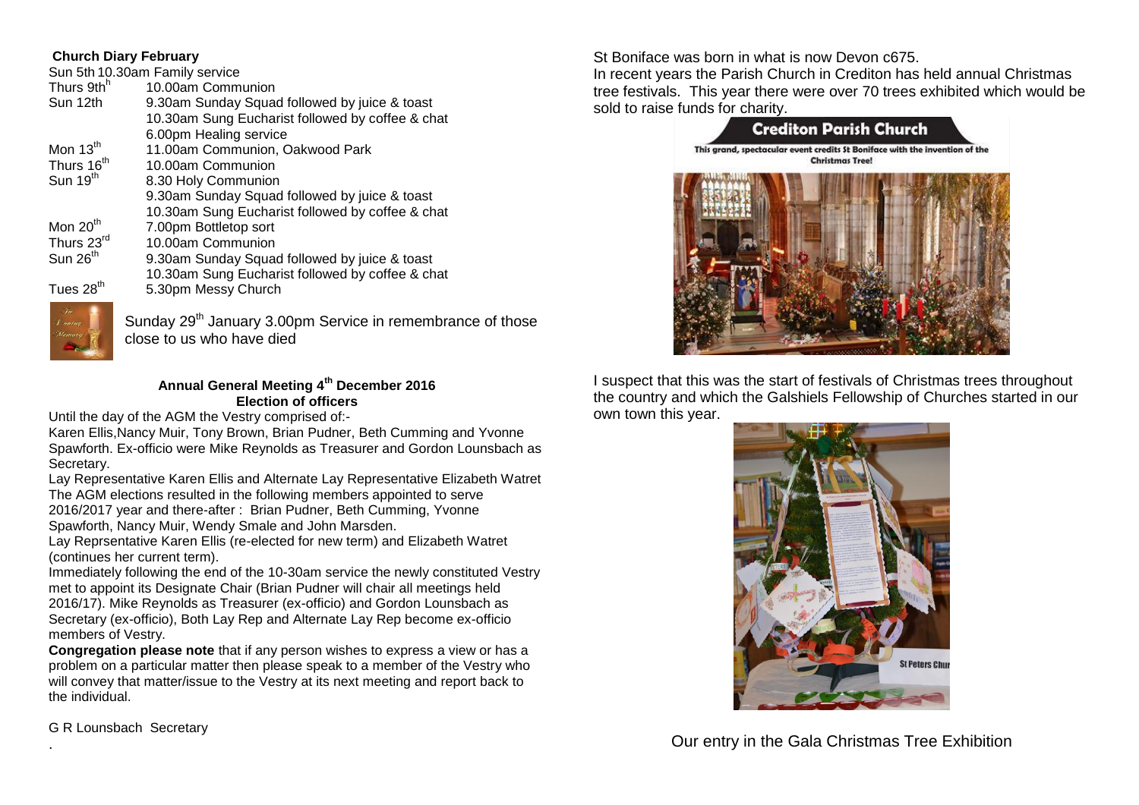#### **Church Diary February**

Sun 5th 10.30am Family service Thurs  $9th^h$ <br>Sun 12th 10.00am Communion 9.30am Sunday Squad followed by juice & toast 10.30am Sung Eucharist followed by coffee & chat 6.00pm Healing service<br>Mon 13<sup>th</sup> 11.00am Communion. Mon  $13^{th}$  11.00am Communion, Oakwood Park<br>Thurs  $16^{th}$  10.00am Communion 10.00am Communion Sun 19<sup>th</sup> 8.30 Holy Communion 9.30am Sunday Squad followed by juice & toast 10.30am Sung Eucharist followed by coffee & chat<br>Mon 20<sup>th</sup> 7.00pm Bottletop sort Mon  $20^{th}$  7.00pm Bottletop sort<br>Thurs  $23^{rd}$  10.00am Communion Thurs  $23^{\text{rd}}$  10.00am Communion<br>Sun  $26^{\text{th}}$  9.30am Sunday Squa 9.30am Sunday Squad followed by juice & toast 10.30am Sung Eucharist followed by coffee & chat Tues 28<sup>th</sup> 5.30pm Messy Church

Sunday 29<sup>th</sup> January 3.00pm Service in remembrance of those close to us who have died

### **Annual General Meeting 4th December 2016 Election of officers**

Until the day of the AGM the Vestry comprised of:-

Karen Ellis,Nancy Muir, Tony Brown, Brian Pudner, Beth Cumming and Yvonne Spawforth. Ex-officio were Mike Reynolds as Treasurer and Gordon Lounsbach as Secretary.

Lay Representative Karen Ellis and Alternate Lay Representative Elizabeth Watret The AGM elections resulted in the following members appointed to serve 2016/2017 year and there-after : Brian Pudner, Beth Cumming, Yvonne Spawforth, Nancy Muir, Wendy Smale and John Marsden.

Lay Reprsentative Karen Ellis (re-elected for new term) and Elizabeth Watret (continues her current term).

Immediately following the end of the 10-30am service the newly constituted Vestry met to appoint its Designate Chair (Brian Pudner will chair all meetings held 2016/17). Mike Reynolds as Treasurer (ex-officio) and Gordon Lounsbach as Secretary (ex-officio), Both Lay Rep and Alternate Lay Rep become ex-officio members of Vestry.

**Congregation please note** that if any person wishes to express a view or has a problem on a particular matter then please speak to a member of the Vestry who will convey that matter/issue to the Vestry at its next meeting and report back to the individual.

G R Lounsbach Secretary

.

St Boniface was born in what is now Devon c675.

In recent years the Parish Church in Crediton has held annual Christmas tree festivals. This year there were over 70 trees exhibited which would be sold to raise funds for charity.



I suspect that this was the start of festivals of Christmas trees throughout the country and which the Galshiels Fellowship of Churches started in our own town this year.



Our entry in the Gala Christmas Tree Exhibition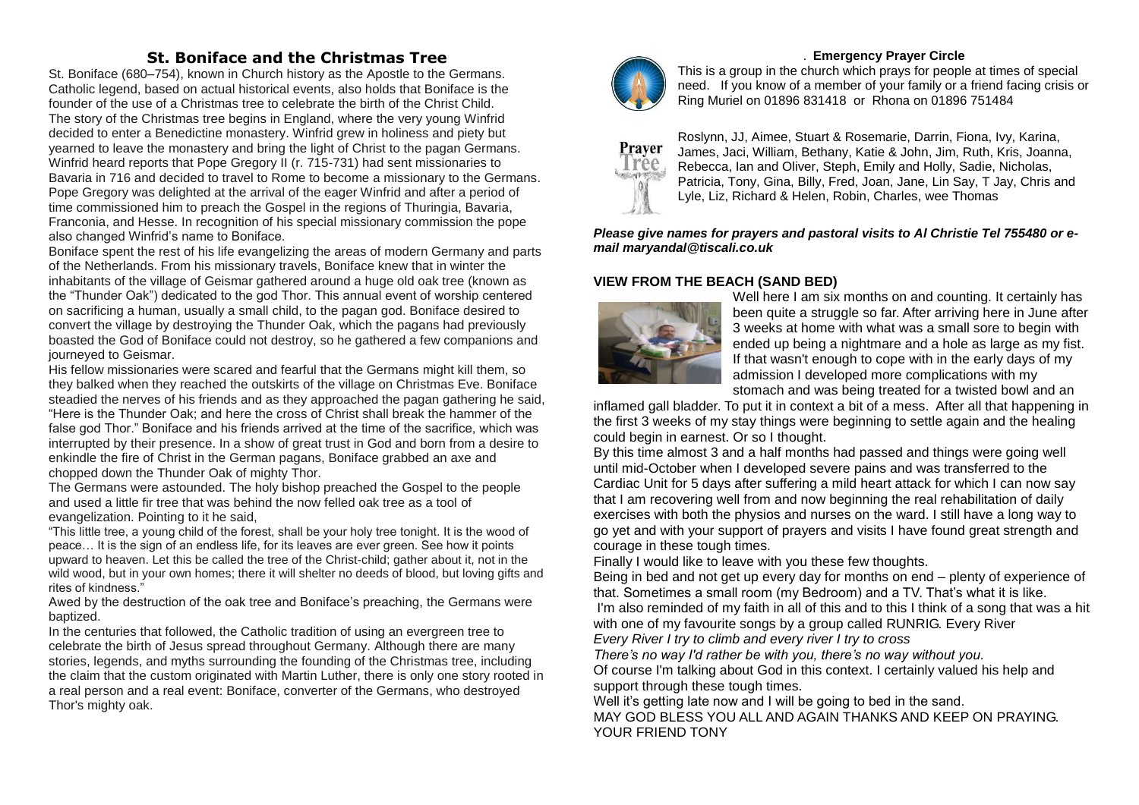# **St. Boniface and the Christmas Tree**

St. Boniface (680–754), known in Church history as the Apostle to the Germans. Catholic legend, based on actual historical events, also holds that Boniface is the founder of the use of a Christmas tree to celebrate the birth of the Christ Child. The story of the Christmas tree begins in England, where the very young Winfrid decided to enter a Benedictine monastery. Winfrid grew in holiness and piety but yearned to leave the monastery and bring the light of Christ to the pagan Germans. Winfrid heard reports that Pope Gregory II (r. 715-731) had sent missionaries to Bavaria in 716 and decided to travel to Rome to become a missionary to the Germans. Pope Gregory was delighted at the arrival of the eager Winfrid and after a period of time commissioned him to preach the Gospel in the regions of Thuringia, Bavaria, Franconia, and Hesse. In recognition of his special missionary commission the pope also changed Winfrid's name to Boniface.

Boniface spent the rest of his life evangelizing the areas of modern Germany and parts of the Netherlands. From his missionary travels, Boniface knew that in winter the inhabitants of the village of Geismar gathered around a huge old oak tree (known as the "Thunder Oak") dedicated to the god Thor. This annual event of worship centered on sacrificing a human, usually a small child, to the pagan god. Boniface desired to convert the village by destroying the Thunder Oak, which the pagans had previously boasted the God of Boniface could not destroy, so he gathered a few companions and journeyed to Geismar.

His fellow missionaries were scared and fearful that the Germans might kill them, so they balked when they reached the outskirts of the village on Christmas Eve. Boniface steadied the nerves of his friends and as they approached the pagan gathering he said, "Here is the Thunder Oak; and here the cross of Christ shall break the hammer of the false god Thor." Boniface and his friends arrived at the time of the sacrifice, which was interrupted by their presence. In a show of great trust in God and born from a desire to enkindle the fire of Christ in the German pagans, Boniface grabbed an axe and chopped down the Thunder Oak of mighty Thor.

The Germans were astounded. The holy bishop preached the Gospel to the people and used a little fir tree that was behind the now felled oak tree as a tool of evangelization. Pointing to it he said,

"This little tree, a young child of the forest, shall be your holy tree tonight. It is the wood of peace… It is the sign of an endless life, for its leaves are ever green. See how it points upward to heaven. Let this be called the tree of the Christ-child; gather about it, not in the wild wood, but in your own homes; there it will shelter no deeds of blood, but loving gifts and rites of kindness."

Awed by the destruction of the oak tree and Boniface's preaching, the Germans were baptized.

In the centuries that followed, the Catholic tradition of using an evergreen tree to celebrate the birth of Jesus spread throughout Germany. Although there are many stories, legends, and myths surrounding the founding of the Christmas tree, including the claim that the custom originated with Martin Luther, there is only one story rooted in a real person and a real event: Boniface, converter of the Germans, who destroyed Thor's mighty oak.



#### . **Emergency Prayer Circle**

This is a group in the church which prays for people at times of special need. If you know of a member of your family or a friend facing crisis or Ring Muriel on 01896 831418 or Rhona on 01896 751484



Roslynn, JJ, Aimee, Stuart & Rosemarie, Darrin, Fiona, Ivy, Karina, James, Jaci, William, Bethany, Katie & John, Jim, Ruth, Kris, Joanna, Rebecca, Ian and Oliver, Steph, Emily and Holly, Sadie, Nicholas, Patricia, Tony, Gina, Billy, Fred, Joan, Jane, Lin Say, T Jay, Chris and Lyle, Liz, Richard & Helen, Robin, Charles, wee Thomas

*Please give names for prayers and pastoral visits to Al Christie Tel 755480 or email maryandal@tiscali.co.uk*

#### **VIEW FROM THE BEACH (SAND BED)**



Well here I am six months on and counting. It certainly has been quite a struggle so far. After arriving here in June after 3 weeks at home with what was a small sore to begin with ended up being a nightmare and a hole as large as my fist. If that wasn't enough to cope with in the early days of my admission I developed more complications with my stomach and was being treated for a twisted bowl and an

inflamed gall bladder. To put it in context a bit of a mess. After all that happening in the first 3 weeks of my stay things were beginning to settle again and the healing could begin in earnest. Or so I thought.

By this time almost 3 and a half months had passed and things were going well until mid-October when I developed severe pains and was transferred to the Cardiac Unit for 5 days after suffering a mild heart attack for which I can now say that I am recovering well from and now beginning the real rehabilitation of daily exercises with both the physios and nurses on the ward. I still have a long way to go yet and with your support of prayers and visits I have found great strength and courage in these tough times.

Finally I would like to leave with you these few thoughts.

Being in bed and not get up every day for months on end – plenty of experience of that. Sometimes a small room (my Bedroom) and a TV. That's what it is like. I'm also reminded of my faith in all of this and to this I think of a song that was a hit with one of my favourite songs by a group called RUNRIG. Every River *Every River I try to climb and every river I try to cross*

*There's no way I'd rather be with you, there's no way without you.* Of course I'm talking about God in this context. I certainly valued his help and support through these tough times.

Well it's getting late now and I will be going to bed in the sand. MAY GOD BLESS YOU ALL AND AGAIN THANKS AND KEEP ON PRAYING. YOUR FRIEND TONY